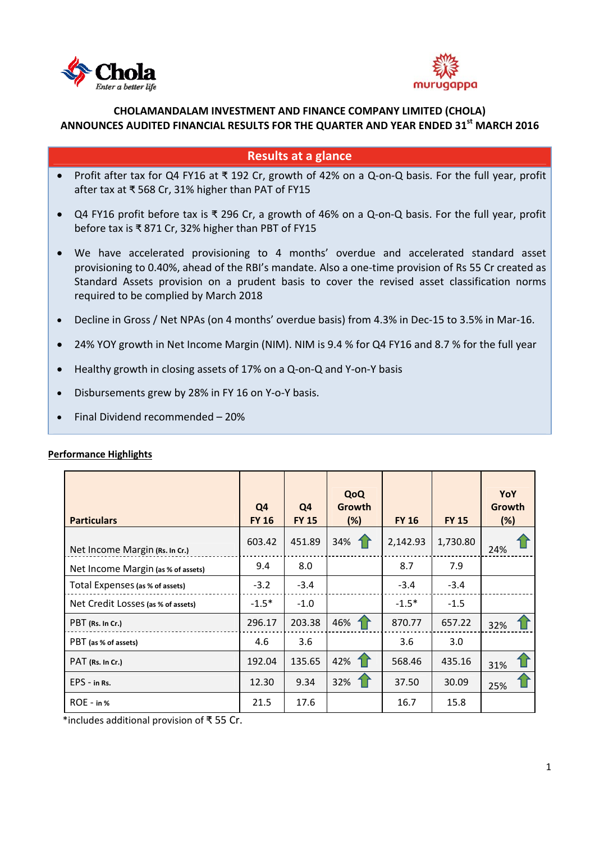



# **CHOLAMANDALAM INVESTMENT AND FINANCE COMPANY LIMITED (CHOLA) ANNOUNCES AUDITED FINANCIAL RESULTS FOR THE QUARTER AND YEAR ENDED 31st MARCH 2016**

# **Results at a glance**

- Profit after tax for Q4 FY16 at ₹ 192 Cr, growth of 42% on a Q-on-Q basis. For the full year, profit after tax at ₹ 568 Cr, 31% higher than PAT of FY15
- Q4 FY16 profit before tax is ₹ 296 Cr, a growth of 46% on a Q‐on‐Q basis. For the full year, profit before tax is ₹ 871 Cr, 32% higher than PBT of FY15
- We have accelerated provisioning to 4 months' overdue and accelerated standard asset provisioning to 0.40%, ahead of the RBI's mandate. Also a one‐time provision of Rs 55 Cr created as Standard Assets provision on a prudent basis to cover the revised asset classification norms required to be complied by March 2018
- Decline in Gross / Net NPAs (on 4 months' overdue basis) from 4.3% in Dec-15 to 3.5% in Mar-16.
- 24% YOY growth in Net Income Margin (NIM). NIM is 9.4 % for Q4 FY16 and 8.7 % for the full year
- Healthy growth in closing assets of 17% on a Q‐on‐Q and Y‐on‐Y basis
- Disbursements grew by 28% in FY 16 on Y‐o‐Y basis.
- Final Dividend recommended 20%

| <b>Particulars</b>                 | Q <sub>4</sub><br><b>FY 16</b> | Q4<br><b>FY 15</b> | QoQ<br>Growth<br>(%) | <b>FY 16</b> | <b>FY 15</b> | YoY<br>Growth<br>(%) |
|------------------------------------|--------------------------------|--------------------|----------------------|--------------|--------------|----------------------|
| Net Income Margin (Rs. In Cr.)     | 603.42                         | 451.89             | 34%                  | 2,142.93     | 1,730.80     | 24%                  |
| Net Income Margin (as % of assets) | 9.4                            | 8.0                |                      | 8.7          | 7.9          |                      |
| Total Expenses (as % of assets)    | $-3.2$                         | $-3.4$             |                      | $-3.4$       | $-3.4$       |                      |
| Net Credit Losses (as % of assets) | $-1.5*$                        | $-1.0$             |                      | $-1.5*$      | $-1.5$       |                      |
| PBT (Rs. In Cr.)                   | 296.17                         | 203.38             | 46%                  | 870.77       | 657.22       | 32%                  |
| PBT (as % of assets)               | 4.6                            | 3.6                |                      | 3.6          | 3.0          |                      |
| PAT (Rs. In Cr.)                   | 192.04                         | 135.65             | 42%                  | 568.46       | 435.16       | 31%                  |
| EPS - in Rs.                       | 12.30                          | 9.34               | 32%                  | 37.50        | 30.09        | 25%                  |
| $ROE - in %$                       | 21.5                           | 17.6               |                      | 16.7         | 15.8         |                      |

#### Performance Highlights

\*includes additional provision of ₹ 55 Cr.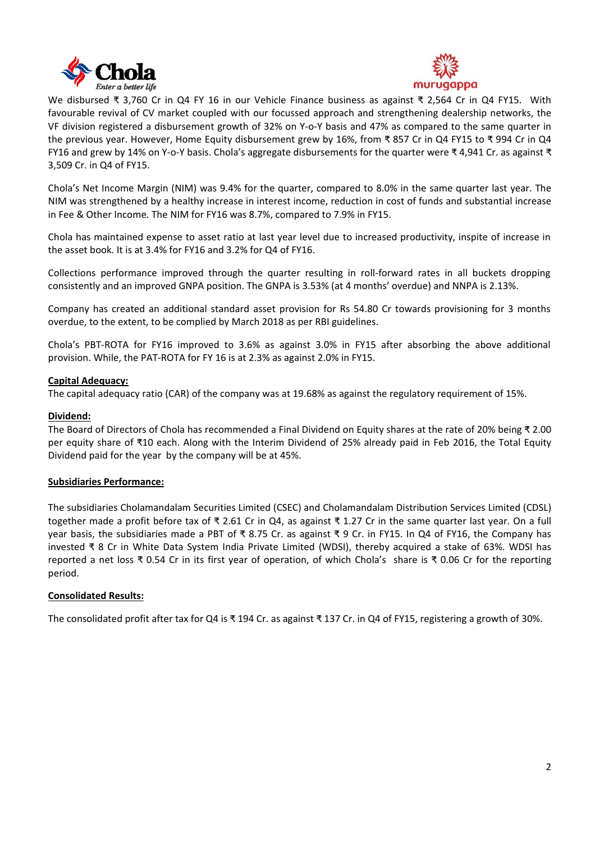



We disbursed ₹ 3,760 Cr in Q4 FY 16 in our Vehicle Finance business as against ₹ 2,564 Cr in Q4 FY15. With favourable revival of CV market coupled with our focussed approach and strengthening dealership networks, the VF division registered a disbursement growth of 32% on Y‐o‐Y basis and 47% as compared to the same quarter in the previous year. However, Home Equity disbursement grew by 16%, from ₹ 857 Cr in Q4 FY15 to ₹ 994 Cr in Q4 FY16 and grew by 14% on Y‐o‐Y basis. Chola's aggregate disbursements for the quarter were ₹ 4,941 Cr. as against ₹ 3,509 Cr. in Q4 of FY15.

Chola's Net Income Margin (NIM) was 9.4% for the quarter, compared to 8.0% in the same quarter last year. The NIM was strengthened by a healthy increase in interest income, reduction in cost of funds and substantial increase in Fee & Other Income. The NIM for FY16 was 8.7%, compared to 7.9% in FY15.

Chola has maintained expense to asset ratio at last year level due to increased productivity, inspite of increase in the asset book. It is at 3.4% for FY16 and 3.2% for Q4 of FY16.

Collections performance improved through the quarter resulting in roll‐forward rates in all buckets dropping consistently and an improved GNPA position. The GNPA is 3.53% (at 4 months' overdue) and NNPA is 2.13%.

Company has created an additional standard asset provision for Rs 54.80 Cr towards provisioning for 3 months overdue, to the extent, to be complied by March 2018 as per RBI guidelines.

Chola's PBT‐ROTA for FY16 improved to 3.6% as against 3.0% in FY15 after absorbing the above additional provision. While, the PAT‐ROTA for FY 16 is at 2.3% as against 2.0% in FY15.

#### **Capital Adequacy:**

The capital adequacy ratio (CAR) of the company was at 19.68% as against the regulatory requirement of 15%.

## **Dividend:**

The Board of Directors of Chola has recommended a Final Dividend on Equity shares at the rate of 20% being ₹ 2.00 per equity share of ₹10 each. Along with the Interim Dividend of 25% already paid in Feb 2016, the Total Equity Dividend paid for the year by the company will be at 45%.

#### **Subsidiaries Performance:**

The subsidiaries Cholamandalam Securities Limited (CSEC) and Cholamandalam Distribution Services Limited (CDSL) together made a profit before tax of ₹ 2.61 Cr in Q4, as against ₹ 1.27 Cr in the same quarter last year. On a full year basis, the subsidiaries made a PBT of ₹ 8.75 Cr. as against ₹ 9 Cr. in FY15. In Q4 of FY16, the Company has invested ₹ 8 Cr in White Data System India Private Limited (WDSI), thereby acquired a stake of 63%. WDSI has reported a net loss ₹ 0.54 Cr in its first year of operation, of which Chola's share is ₹ 0.06 Cr for the reporting period.

#### **Consolidated Results:**

The consolidated profit after tax for Q4 is ₹ 194 Cr. as against ₹ 137 Cr. in Q4 of FY15, registering a growth of 30%.